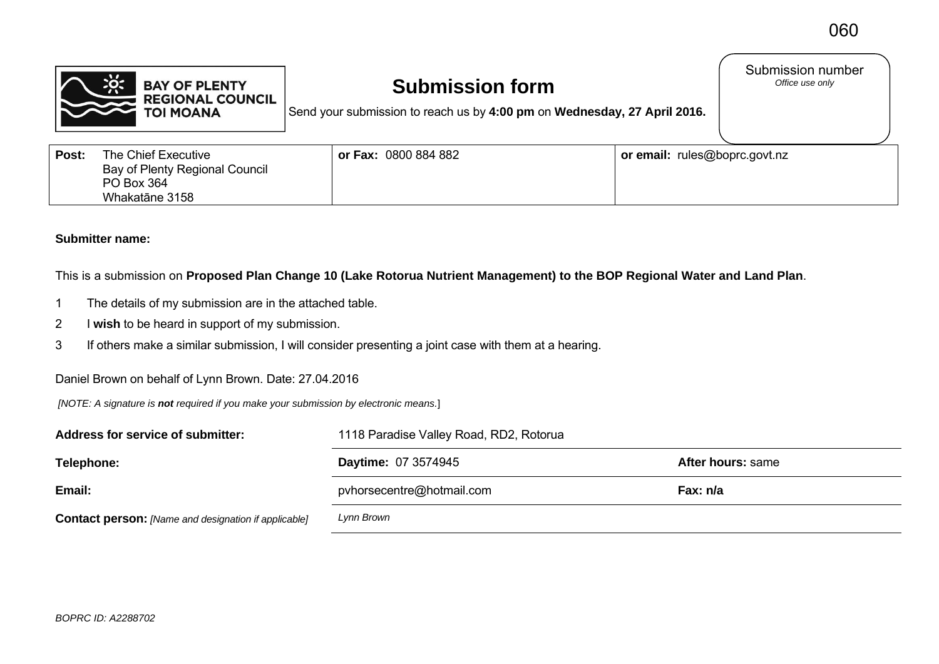

## **Submission form**

Submission number<br>Office use only

Send your submission to reach us by **4:00 pm** on **Wednesday, 27 April 2016.**

| Post: | The Chief Executive<br>Bay of Plenty Regional Council | $\vert$ or Fax: $\,0800\,884\,882$ | or email: rules@boprc.govt.nz |
|-------|-------------------------------------------------------|------------------------------------|-------------------------------|
|       | PO Box 364<br>Whakatāne 3158                          |                                    |                               |

## **Submitter name:**

This is a submission on **Proposed Plan Change 10 (Lake Rotorua Nutrient Management) to the BOP Regional Water and Land Plan**.

- 1 The details of my submission are in the attached table.
- 2 I **wish** to be heard in support of my submission.
- 3 If others make a similar submission, I will consider presenting a joint case with them at a hearing.

## Daniel Brown on behalf of Lynn Brown. Date: 27.04.2016

 *[NOTE: A signature is not required if you make your submission by electronic means.*]

| Address for service of submitter:                           | 1118 Paradise Valley Road, RD2, Rotorua |                   |  |
|-------------------------------------------------------------|-----------------------------------------|-------------------|--|
| Telephone:                                                  | <b>Daytime: 07 3574945</b>              | After hours: same |  |
| Email:                                                      | pvhorsecentre@hotmail.com               | Fax: n/a          |  |
| <b>Contact person:</b> [Name and designation if applicable] | Lynn Brown                              |                   |  |